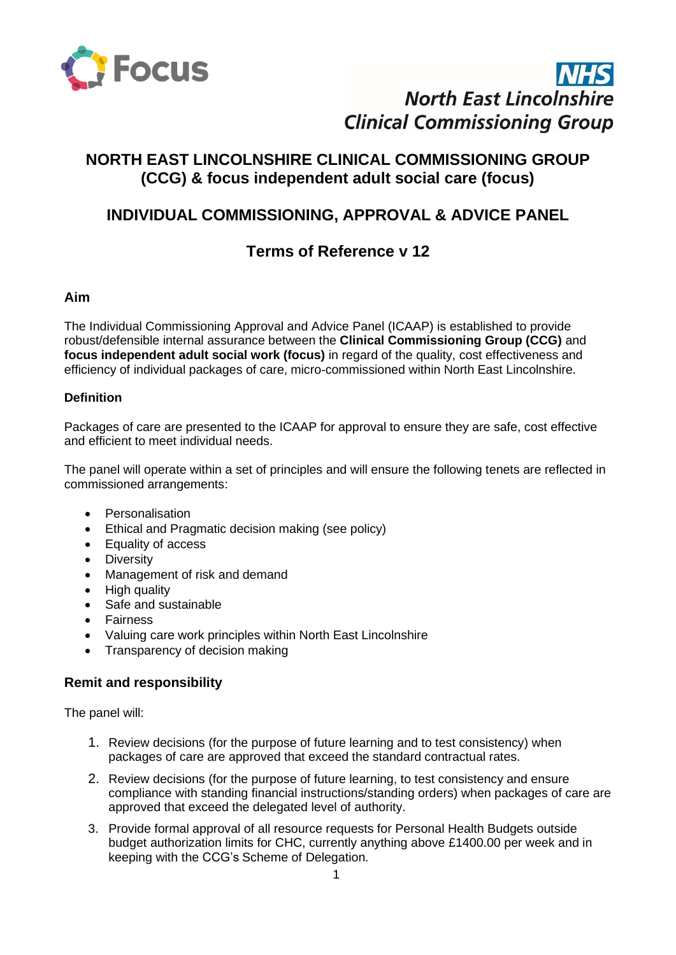

# **North East Lincolnshire Clinical Commissioning Group**

# **NORTH EAST LINCOLNSHIRE CLINICAL COMMISSIONING GROUP (CCG) & focus independent adult social care (focus)**

# **INDIVIDUAL COMMISSIONING, APPROVAL & ADVICE PANEL**

# **Terms of Reference v 12**

## **Aim**

The Individual Commissioning Approval and Advice Panel (ICAAP) is established to provide robust/defensible internal assurance between the **Clinical Commissioning Group (CCG)** and **focus independent adult social work (focus)** in regard of the quality, cost effectiveness and efficiency of individual packages of care, micro-commissioned within North East Lincolnshire.

### **Definition**

Packages of care are presented to the ICAAP for approval to ensure they are safe, cost effective and efficient to meet individual needs.

The panel will operate within a set of principles and will ensure the following tenets are reflected in commissioned arrangements:

- Personalisation
- Ethical and Pragmatic decision making (see policy)
- Equality of access
- Diversity
- Management of risk and demand
- High quality
- Safe and sustainable
- Fairness
- Valuing care work principles within North East Lincolnshire
- Transparency of decision making

## **Remit and responsibility**

The panel will:

- 1. Review decisions (for the purpose of future learning and to test consistency) when packages of care are approved that exceed the standard contractual rates.
- 2. Review decisions (for the purpose of future learning, to test consistency and ensure compliance with standing financial instructions/standing orders) when packages of care are approved that exceed the delegated level of authority.
- 3. Provide formal approval of all resource requests for Personal Health Budgets outside budget authorization limits for CHC, currently anything above £1400.00 per week and in keeping with the CCG's Scheme of Delegation.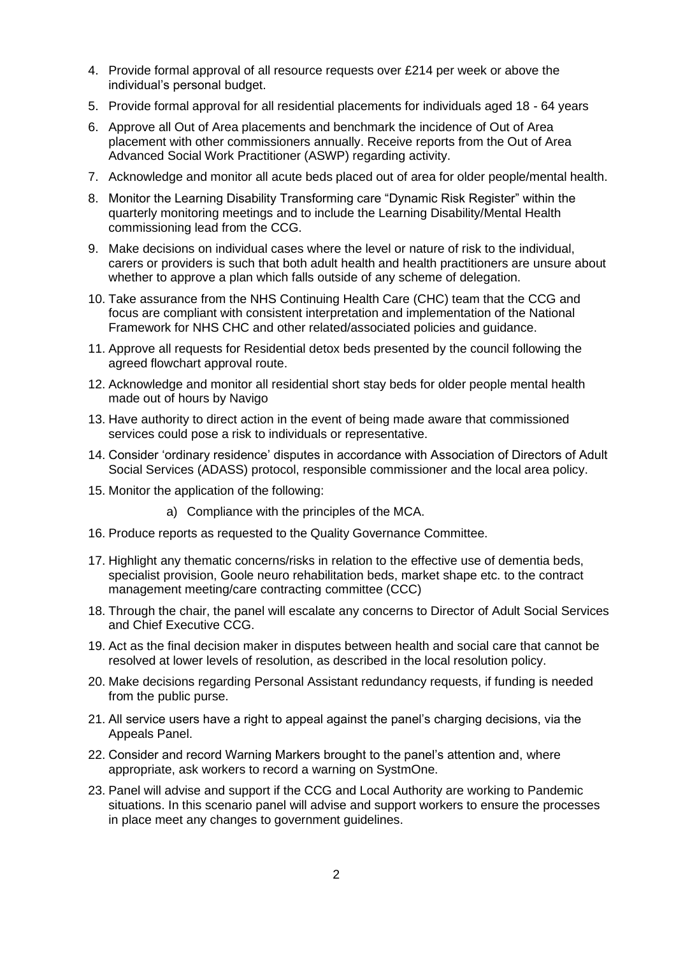- 4. Provide formal approval of all resource requests over £214 per week or above the individual's personal budget.
- 5. Provide formal approval for all residential placements for individuals aged 18 64 years
- 6. Approve all Out of Area placements and benchmark the incidence of Out of Area placement with other commissioners annually. Receive reports from the Out of Area Advanced Social Work Practitioner (ASWP) regarding activity.
- 7. Acknowledge and monitor all acute beds placed out of area for older people/mental health.
- 8. Monitor the Learning Disability Transforming care "Dynamic Risk Register" within the quarterly monitoring meetings and to include the Learning Disability/Mental Health commissioning lead from the CCG.
- 9. Make decisions on individual cases where the level or nature of risk to the individual, carers or providers is such that both adult health and health practitioners are unsure about whether to approve a plan which falls outside of any scheme of delegation.
- 10. Take assurance from the NHS Continuing Health Care (CHC) team that the CCG and focus are compliant with consistent interpretation and implementation of the National Framework for NHS CHC and other related/associated policies and guidance.
- 11. Approve all requests for Residential detox beds presented by the council following the agreed flowchart approval route.
- 12. Acknowledge and monitor all residential short stay beds for older people mental health made out of hours by Navigo
- 13. Have authority to direct action in the event of being made aware that commissioned services could pose a risk to individuals or representative.
- 14. Consider 'ordinary residence' disputes in accordance with Association of Directors of Adult Social Services (ADASS) protocol, responsible commissioner and the local area policy.
- 15. Monitor the application of the following:
	- a) Compliance with the principles of the MCA.
- 16. Produce reports as requested to the Quality Governance Committee.
- 17. Highlight any thematic concerns/risks in relation to the effective use of dementia beds, specialist provision, Goole neuro rehabilitation beds, market shape etc. to the contract management meeting/care contracting committee (CCC)
- 18. Through the chair, the panel will escalate any concerns to Director of Adult Social Services and Chief Executive CCG.
- 19. Act as the final decision maker in disputes between health and social care that cannot be resolved at lower levels of resolution, as described in the local resolution policy.
- 20. Make decisions regarding Personal Assistant redundancy requests, if funding is needed from the public purse.
- 21. All service users have a right to appeal against the panel's charging decisions, via the Appeals Panel.
- 22. Consider and record Warning Markers brought to the panel's attention and, where appropriate, ask workers to record a warning on SystmOne.
- 23. Panel will advise and support if the CCG and Local Authority are working to Pandemic situations. In this scenario panel will advise and support workers to ensure the processes in place meet any changes to government guidelines.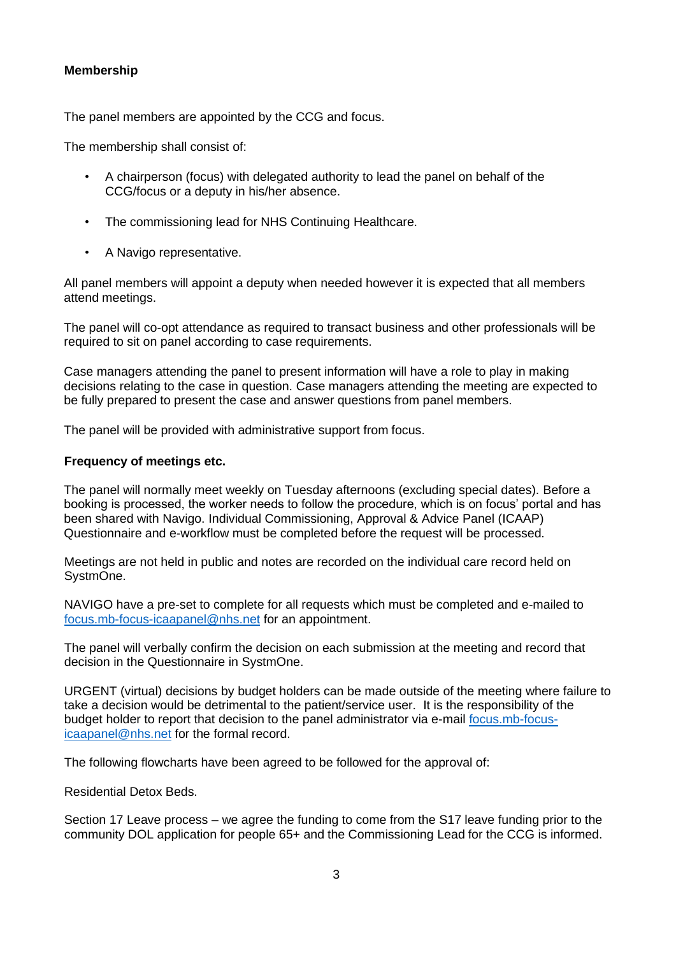#### **Membership**

The panel members are appointed by the CCG and focus.

The membership shall consist of:

- A chairperson (focus) with delegated authority to lead the panel on behalf of the CCG/focus or a deputy in his/her absence.
- The commissioning lead for NHS Continuing Healthcare.
- A Navigo representative.

All panel members will appoint a deputy when needed however it is expected that all members attend meetings.

The panel will co-opt attendance as required to transact business and other professionals will be required to sit on panel according to case requirements.

Case managers attending the panel to present information will have a role to play in making decisions relating to the case in question. Case managers attending the meeting are expected to be fully prepared to present the case and answer questions from panel members.

The panel will be provided with administrative support from focus.

#### **Frequency of meetings etc.**

The panel will normally meet weekly on Tuesday afternoons (excluding special dates). Before a booking is processed, the worker needs to follow the procedure, which is on focus' portal and has been shared with Navigo. Individual Commissioning, Approval & Advice Panel (ICAAP) Questionnaire and e-workflow must be completed before the request will be processed.

Meetings are not held in public and notes are recorded on the individual care record held on SystmOne.

NAVIGO have a pre-set to complete for all requests which must be completed and e-mailed to [focus.mb-focus-icaapanel@nhs.net](mailto:focus.mb-focus-icaapanel@nhs.net) for an appointment.

The panel will verbally confirm the decision on each submission at the meeting and record that decision in the Questionnaire in SystmOne.

URGENT (virtual) decisions by budget holders can be made outside of the meeting where failure to take a decision would be detrimental to the patient/service user. It is the responsibility of the budget holder to report that decision to the panel administrator via e-mail [focus.mb-focus](mailto:focus.mb-focus-icaapanel@nhs.net)[icaapanel@nhs.net](mailto:focus.mb-focus-icaapanel@nhs.net) for the formal record.

The following flowcharts have been agreed to be followed for the approval of:

Residential Detox Beds.

Section 17 Leave process – we agree the funding to come from the S17 leave funding prior to the community DOL application for people 65+ and the Commissioning Lead for the CCG is informed.